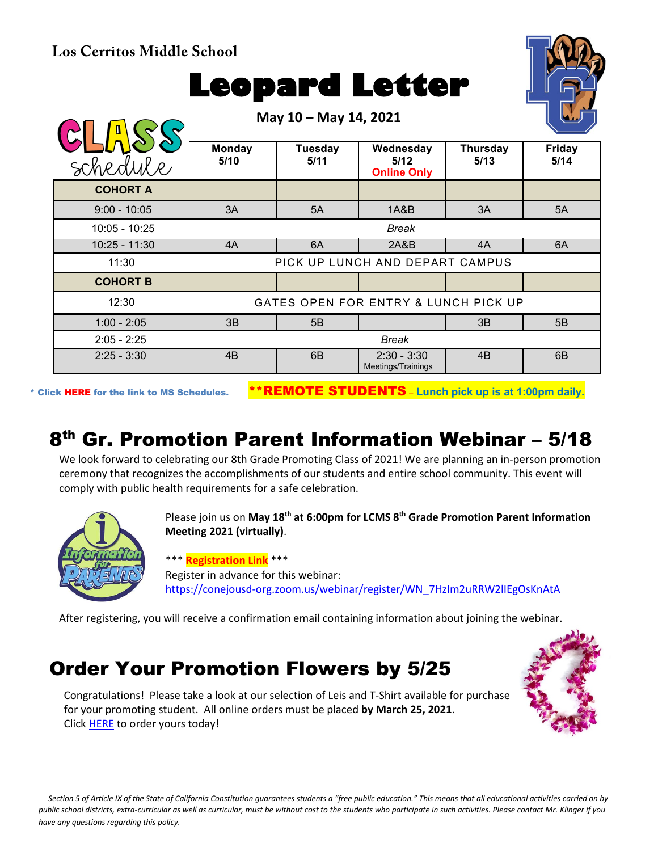**Los Cerritos Middle School**

# **Leopard Letter**

**May 10 – May 14, 2021**



|                 | $11141 + 10$<br>$11101$ $1716064$    |                 |                                         |                         |                       |
|-----------------|--------------------------------------|-----------------|-----------------------------------------|-------------------------|-----------------------|
| schedule        | <b>Monday</b><br>5/10                | Tuesday<br>5/11 | Wednesday<br>5/12<br><b>Online Only</b> | <b>Thursday</b><br>5/13 | <b>Friday</b><br>5/14 |
| <b>COHORT A</b> |                                      |                 |                                         |                         |                       |
| $9:00 - 10:05$  | 3A                                   | 5A              | 1A&B                                    | 3A                      | 5A                    |
| 10:05 - 10:25   | <b>Break</b>                         |                 |                                         |                         |                       |
| $10:25 - 11:30$ | 4A                                   | 6A              | 2A&B                                    | 4A                      | 6A                    |
| 11:30           | PICK UP LUNCH AND DEPART CAMPUS      |                 |                                         |                         |                       |
| <b>COHORT B</b> |                                      |                 |                                         |                         |                       |
| 12:30           | GATES OPEN FOR ENTRY & LUNCH PICK UP |                 |                                         |                         |                       |
| $1:00 - 2:05$   | 3B                                   | 5B              |                                         | 3B                      | 5B                    |
| $2:05 - 2:25$   | <b>Break</b>                         |                 |                                         |                         |                       |
| $2:25 - 3:30$   | 4B                                   | 6B              | $2:30 - 3:30$<br>Meetings/Trainings     | 4B                      | 6B                    |

\* Click [HERE](https://www.conejousd.org/Portals/0/Middle%20School%20Monthly%20Calendar%20_FNLl.pdf?ver=2020-11-04-105638-860) for the link to MS Schedules. \*\*REMOTE STUDENTS – **Lunch pick up is at 1:00pm daily.**

# 8th Gr. Promotion Parent Information Webinar – 5/18

We look forward to celebrating our 8th Grade Promoting Class of 2021! We are planning an in-person promotion ceremony that recognizes the accomplishments of our students and entire school community. This event will comply with public health requirements for a safe celebration.



Please join us on **May 18th at 6:00pm for LCMS 8th Grade Promotion Parent Information Meeting 2021 (virtually)**.

\*\*\* **Registration Link** \*\*\* Register in advance for this webinar: [https://conejousd-org.zoom.us/webinar/register/WN\\_7HzIm2uRRW2lIEgOsKnAtA](https://conejousd-org.zoom.us/webinar/register/WN_7HzIm2uRRW2lIEgOsKnAtA)

After registering, you will receive a confirmation email containing information about joining the webinar.

### Order Your Promotion Flowers by 5/25

Congratulations! Please take a look at our selection of Leis and T-Shirt available for purchase for your promoting student. All online orders must be placed **by March 25, 2021**. Click **HERE** to order yours today!



*Section 5 of Article IX of the State of California Constitution guarantees students a "free public education." This means that all educational activities carried on by public school districts, extra-curricular as well as curricular, must be without cost to the students who participate in such activities. Please contact Mr. Klinger if you have any questions regarding this policy.*